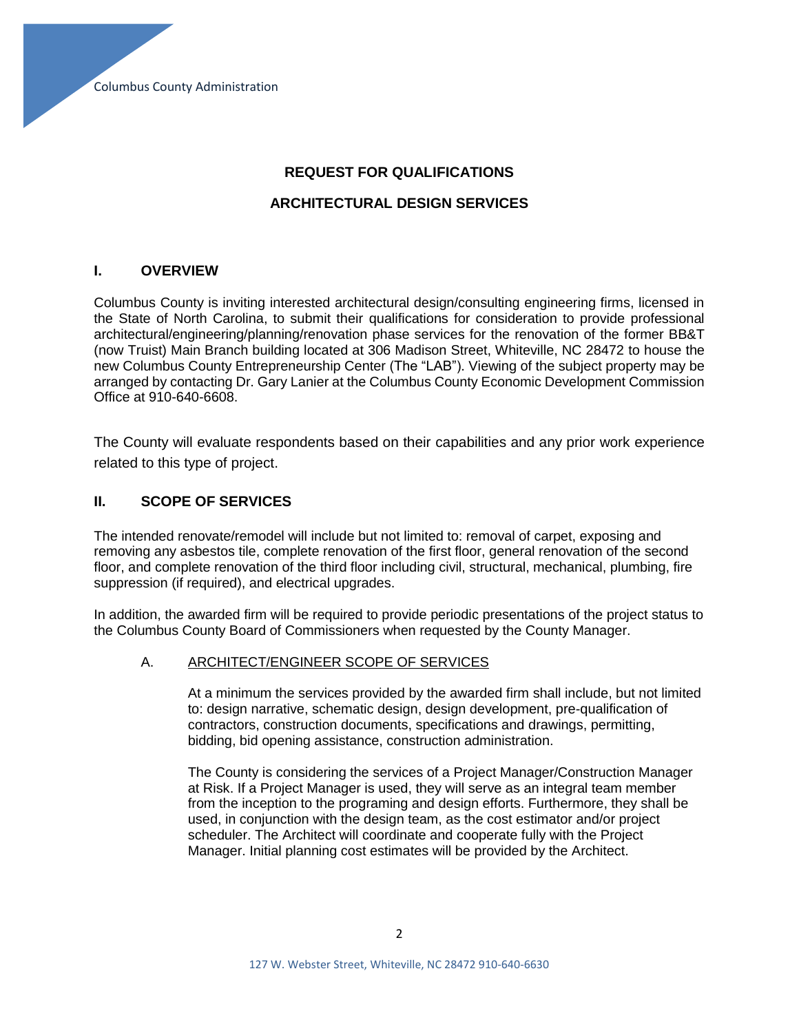# **REQUEST FOR QUALIFICATIONS**

## **ARCHITECTURAL DESIGN SERVICES**

#### **I. OVERVIEW**

Columbus County is inviting interested architectural design/consulting engineering firms, licensed in the State of North Carolina, to submit their qualifications for consideration to provide professional architectural/engineering/planning/renovation phase services for the renovation of the former BB&T (now Truist) Main Branch building located at 306 Madison Street, Whiteville, NC 28472 to house the new Columbus County Entrepreneurship Center (The "LAB"). Viewing of the subject property may be arranged by contacting Dr. Gary Lanier at the Columbus County Economic Development Commission Office at 910-640-6608.

The County will evaluate respondents based on their capabilities and any prior work experience related to this type of project.

## **II. SCOPE OF SERVICES**

The intended renovate/remodel will include but not limited to: removal of carpet, exposing and removing any asbestos tile, complete renovation of the first floor, general renovation of the second floor, and complete renovation of the third floor including civil, structural, mechanical, plumbing, fire suppression (if required), and electrical upgrades.

In addition, the awarded firm will be required to provide periodic presentations of the project status to the Columbus County Board of Commissioners when requested by the County Manager.

#### A. ARCHITECT/ENGINEER SCOPE OF SERVICES

At a minimum the services provided by the awarded firm shall include, but not limited to: design narrative, schematic design, design development, pre-qualification of contractors, construction documents, specifications and drawings, permitting, bidding, bid opening assistance, construction administration.

The County is considering the services of a Project Manager/Construction Manager at Risk. If a Project Manager is used, they will serve as an integral team member from the inception to the programing and design efforts. Furthermore, they shall be used, in conjunction with the design team, as the cost estimator and/or project scheduler. The Architect will coordinate and cooperate fully with the Project Manager. Initial planning cost estimates will be provided by the Architect.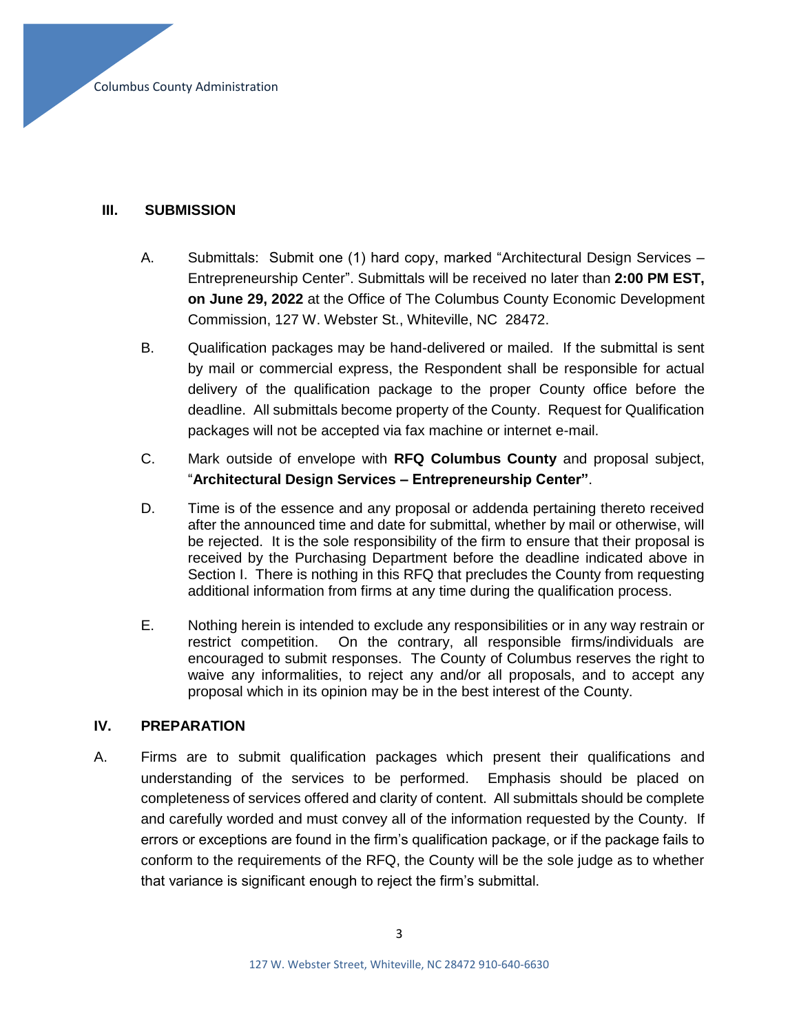# **III. SUBMISSION**

- A. Submittals: Submit one (1) hard copy, marked "Architectural Design Services Entrepreneurship Center". Submittals will be received no later than **2:00 PM EST, on June 29, 2022** at the Office of The Columbus County Economic Development Commission, 127 W. Webster St., Whiteville, NC 28472.
- B. Qualification packages may be hand-delivered or mailed. If the submittal is sent by mail or commercial express, the Respondent shall be responsible for actual delivery of the qualification package to the proper County office before the deadline. All submittals become property of the County. Request for Qualification packages will not be accepted via fax machine or internet e-mail.
- C. Mark outside of envelope with **RFQ Columbus County** and proposal subject, "**Architectural Design Services – Entrepreneurship Center"**.
- D. Time is of the essence and any proposal or addenda pertaining thereto received after the announced time and date for submittal, whether by mail or otherwise, will be rejected. It is the sole responsibility of the firm to ensure that their proposal is received by the Purchasing Department before the deadline indicated above in Section I. There is nothing in this RFQ that precludes the County from requesting additional information from firms at any time during the qualification process.
- E. Nothing herein is intended to exclude any responsibilities or in any way restrain or restrict competition. On the contrary, all responsible firms/individuals are encouraged to submit responses. The County of Columbus reserves the right to waive any informalities, to reject any and/or all proposals, and to accept any proposal which in its opinion may be in the best interest of the County.

# **IV. PREPARATION**

A. Firms are to submit qualification packages which present their qualifications and understanding of the services to be performed. Emphasis should be placed on completeness of services offered and clarity of content. All submittals should be complete and carefully worded and must convey all of the information requested by the County. If errors or exceptions are found in the firm's qualification package, or if the package fails to conform to the requirements of the RFQ, the County will be the sole judge as to whether that variance is significant enough to reject the firm's submittal.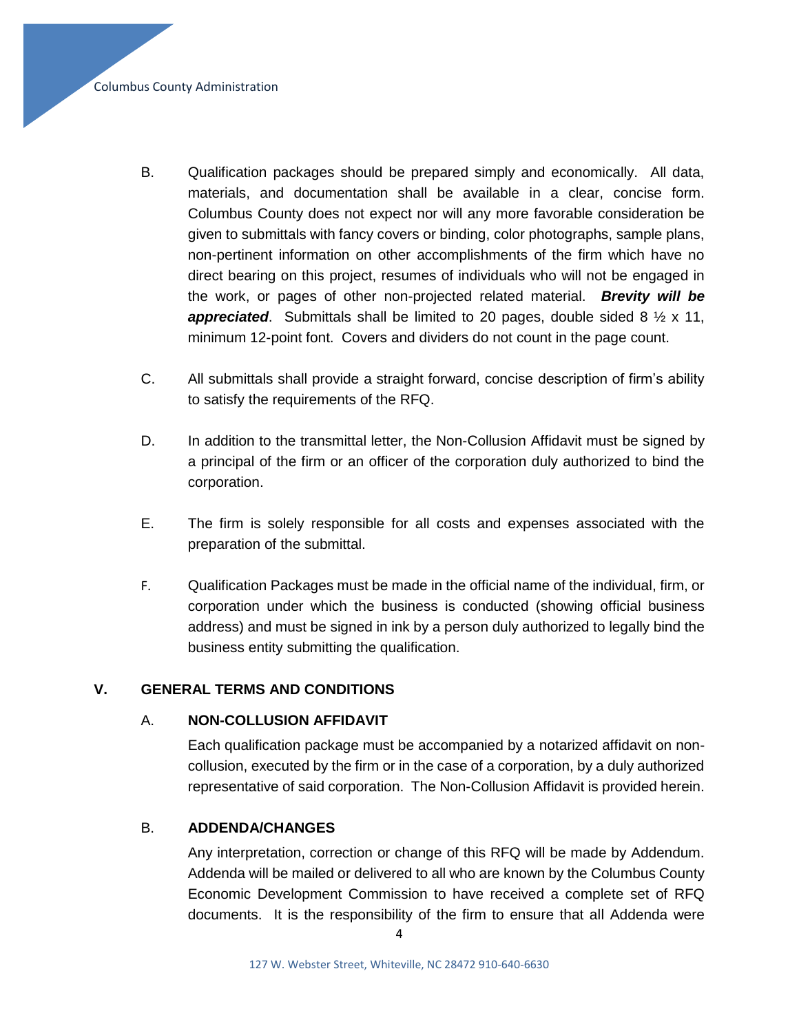Columbus County Administration

- B. Qualification packages should be prepared simply and economically. All data, materials, and documentation shall be available in a clear, concise form. Columbus County does not expect nor will any more favorable consideration be given to submittals with fancy covers or binding, color photographs, sample plans, non-pertinent information on other accomplishments of the firm which have no direct bearing on this project, resumes of individuals who will not be engaged in the work, or pages of other non-projected related material. *Brevity will be appreciated*. Submittals shall be limited to 20 pages, double sided 8 ½ x 11, minimum 12-point font. Covers and dividers do not count in the page count.
- C. All submittals shall provide a straight forward, concise description of firm's ability to satisfy the requirements of the RFQ.
- D. In addition to the transmittal letter, the Non-Collusion Affidavit must be signed by a principal of the firm or an officer of the corporation duly authorized to bind the corporation.
- E. The firm is solely responsible for all costs and expenses associated with the preparation of the submittal.
- F. Qualification Packages must be made in the official name of the individual, firm, or corporation under which the business is conducted (showing official business address) and must be signed in ink by a person duly authorized to legally bind the business entity submitting the qualification.

## **V. GENERAL TERMS AND CONDITIONS**

## A. **NON-COLLUSION AFFIDAVIT**

Each qualification package must be accompanied by a notarized affidavit on noncollusion, executed by the firm or in the case of a corporation, by a duly authorized representative of said corporation. The Non-Collusion Affidavit is provided herein.

## B. **ADDENDA/CHANGES**

Any interpretation, correction or change of this RFQ will be made by Addendum. Addenda will be mailed or delivered to all who are known by the Columbus County Economic Development Commission to have received a complete set of RFQ documents. It is the responsibility of the firm to ensure that all Addenda were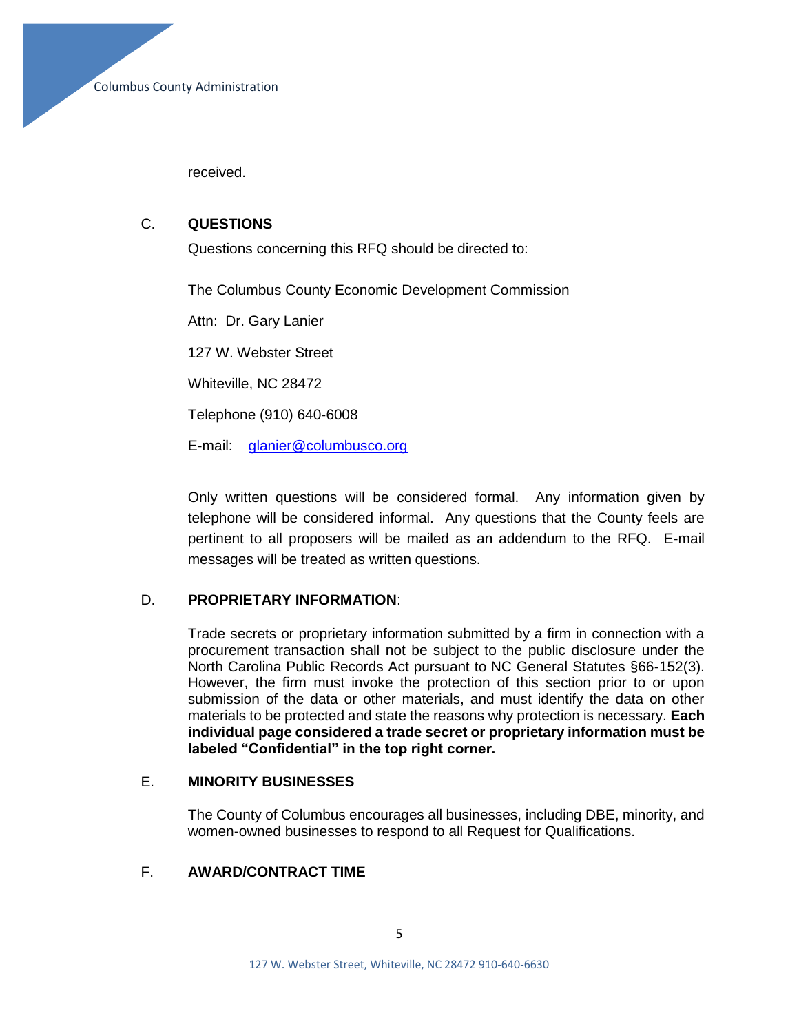received.

## C. **QUESTIONS**

Questions concerning this RFQ should be directed to:

The Columbus County Economic Development Commission

Attn: Dr. Gary Lanier

127 W. Webster Street

Whiteville, NC 28472

Telephone (910) 640-6008

E-mail: [glanier@columbusco.org](mailto:glanier@columbusco.org)

Only written questions will be considered formal. Any information given by telephone will be considered informal. Any questions that the County feels are pertinent to all proposers will be mailed as an addendum to the RFQ. E-mail messages will be treated as written questions.

# D. **PROPRIETARY INFORMATION**:

Trade secrets or proprietary information submitted by a firm in connection with a procurement transaction shall not be subject to the public disclosure under the North Carolina Public Records Act pursuant to NC General Statutes §66-152(3). However, the firm must invoke the protection of this section prior to or upon submission of the data or other materials, and must identify the data on other materials to be protected and state the reasons why protection is necessary. **Each individual page considered a trade secret or proprietary information must be labeled "Confidential" in the top right corner.**

## E. **MINORITY BUSINESSES**

The County of Columbus encourages all businesses, including DBE, minority, and women-owned businesses to respond to all Request for Qualifications.

## F. **AWARD/CONTRACT TIME**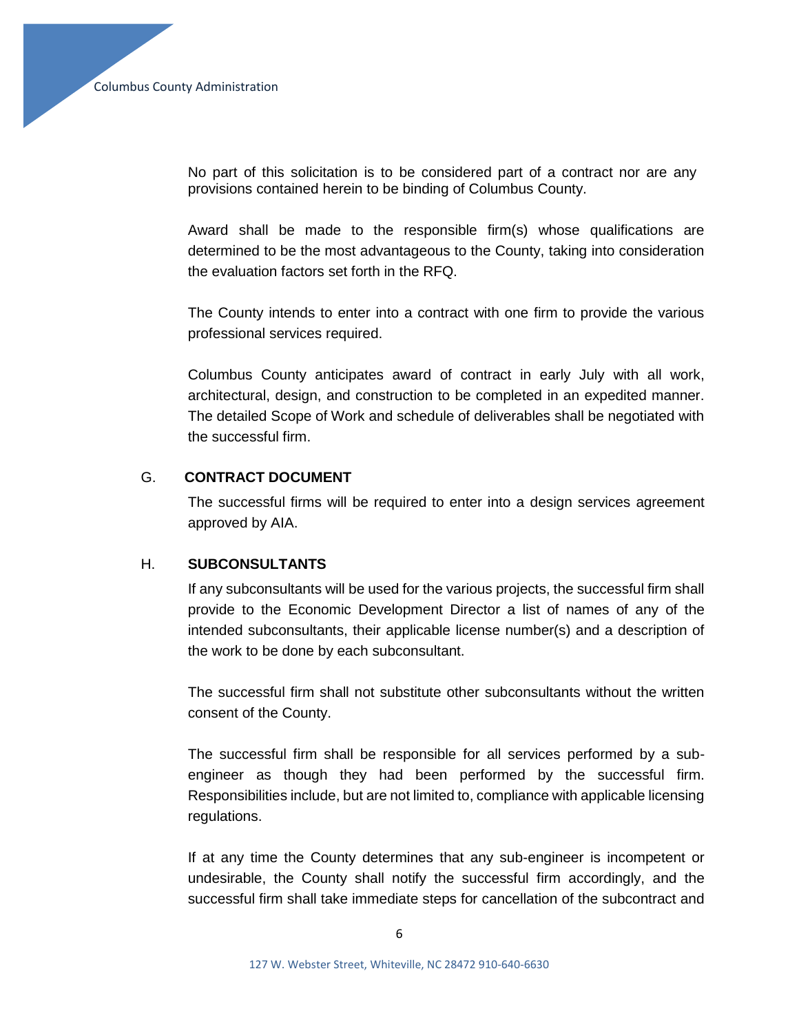No part of this solicitation is to be considered part of a contract nor are any provisions contained herein to be binding of Columbus County.

Award shall be made to the responsible firm(s) whose qualifications are determined to be the most advantageous to the County, taking into consideration the evaluation factors set forth in the RFQ.

The County intends to enter into a contract with one firm to provide the various professional services required.

Columbus County anticipates award of contract in early July with all work, architectural, design, and construction to be completed in an expedited manner. The detailed Scope of Work and schedule of deliverables shall be negotiated with the successful firm.

## G. **CONTRACT DOCUMENT**

The successful firms will be required to enter into a design services agreement approved by AIA.

## H. **SUBCONSULTANTS**

If any subconsultants will be used for the various projects, the successful firm shall provide to the Economic Development Director a list of names of any of the intended subconsultants, their applicable license number(s) and a description of the work to be done by each subconsultant.

The successful firm shall not substitute other subconsultants without the written consent of the County.

The successful firm shall be responsible for all services performed by a subengineer as though they had been performed by the successful firm. Responsibilities include, but are not limited to, compliance with applicable licensing regulations.

If at any time the County determines that any sub-engineer is incompetent or undesirable, the County shall notify the successful firm accordingly, and the successful firm shall take immediate steps for cancellation of the subcontract and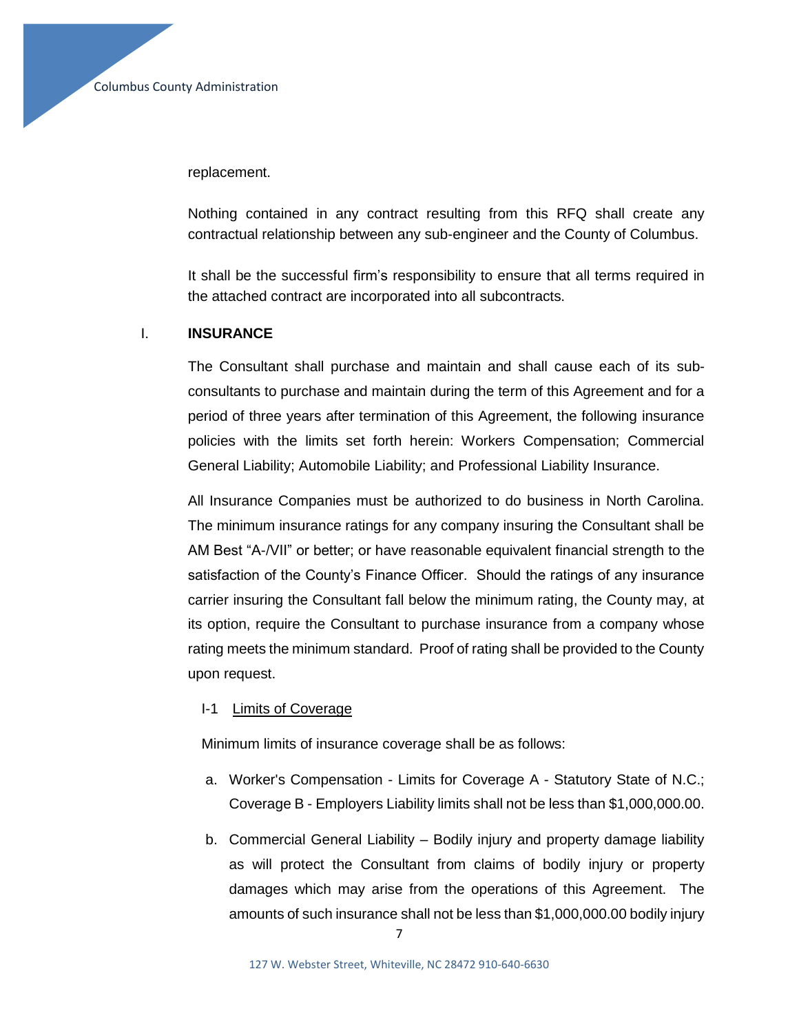replacement.

Nothing contained in any contract resulting from this RFQ shall create any contractual relationship between any sub-engineer and the County of Columbus.

It shall be the successful firm's responsibility to ensure that all terms required in the attached contract are incorporated into all subcontracts.

## I. **INSURANCE**

The Consultant shall purchase and maintain and shall cause each of its subconsultants to purchase and maintain during the term of this Agreement and for a period of three years after termination of this Agreement, the following insurance policies with the limits set forth herein: Workers Compensation; Commercial General Liability; Automobile Liability; and Professional Liability Insurance.

All Insurance Companies must be authorized to do business in North Carolina. The minimum insurance ratings for any company insuring the Consultant shall be AM Best "A-/VII" or better; or have reasonable equivalent financial strength to the satisfaction of the County's Finance Officer. Should the ratings of any insurance carrier insuring the Consultant fall below the minimum rating, the County may, at its option, require the Consultant to purchase insurance from a company whose rating meets the minimum standard. Proof of rating shall be provided to the County upon request.

#### I-1 Limits of Coverage

Minimum limits of insurance coverage shall be as follows:

- a. Worker's Compensation Limits for Coverage A Statutory State of N.C.; Coverage B - Employers Liability limits shall not be less than \$1,000,000.00.
- b. Commercial General Liability Bodily injury and property damage liability as will protect the Consultant from claims of bodily injury or property damages which may arise from the operations of this Agreement. The amounts of such insurance shall not be less than \$1,000,000.00 bodily injury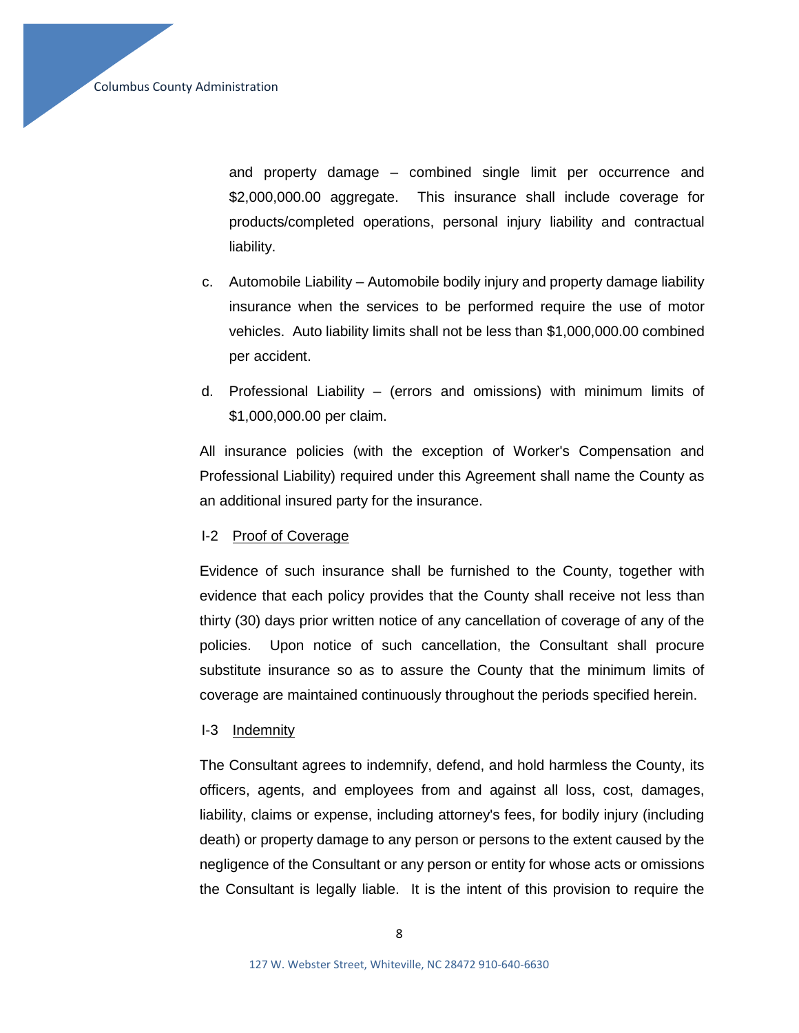and property damage – combined single limit per occurrence and \$2,000,000.00 aggregate. This insurance shall include coverage for products/completed operations, personal injury liability and contractual liability.

- c. Automobile Liability Automobile bodily injury and property damage liability insurance when the services to be performed require the use of motor vehicles. Auto liability limits shall not be less than \$1,000,000.00 combined per accident.
- d. Professional Liability (errors and omissions) with minimum limits of \$1,000,000.00 per claim.

All insurance policies (with the exception of Worker's Compensation and Professional Liability) required under this Agreement shall name the County as an additional insured party for the insurance.

## I-2 Proof of Coverage

Evidence of such insurance shall be furnished to the County, together with evidence that each policy provides that the County shall receive not less than thirty (30) days prior written notice of any cancellation of coverage of any of the policies. Upon notice of such cancellation, the Consultant shall procure substitute insurance so as to assure the County that the minimum limits of coverage are maintained continuously throughout the periods specified herein.

## I-3 Indemnity

The Consultant agrees to indemnify, defend, and hold harmless the County, its officers, agents, and employees from and against all loss, cost, damages, liability, claims or expense, including attorney's fees, for bodily injury (including death) or property damage to any person or persons to the extent caused by the negligence of the Consultant or any person or entity for whose acts or omissions the Consultant is legally liable. It is the intent of this provision to require the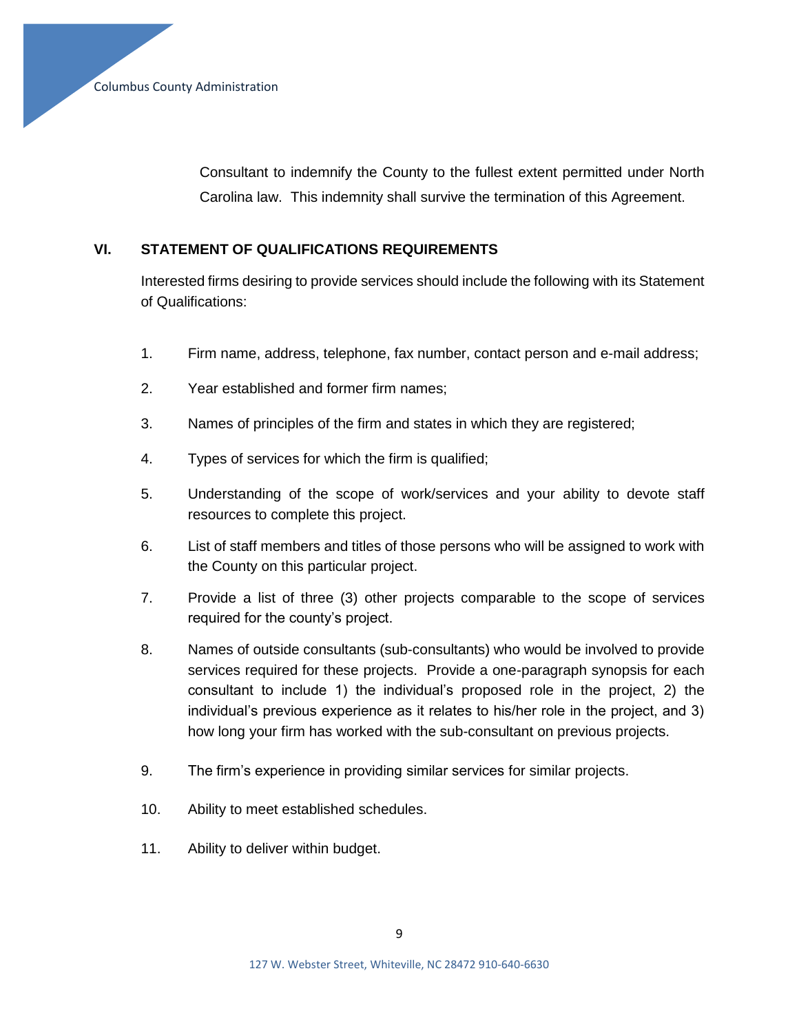Consultant to indemnify the County to the fullest extent permitted under North Carolina law. This indemnity shall survive the termination of this Agreement.

# **VI. STATEMENT OF QUALIFICATIONS REQUIREMENTS**

Interested firms desiring to provide services should include the following with its Statement of Qualifications:

- 1. Firm name, address, telephone, fax number, contact person and e-mail address;
- 2. Year established and former firm names;
- 3. Names of principles of the firm and states in which they are registered;
- 4. Types of services for which the firm is qualified;
- 5. Understanding of the scope of work/services and your ability to devote staff resources to complete this project.
- 6. List of staff members and titles of those persons who will be assigned to work with the County on this particular project.
- 7. Provide a list of three (3) other projects comparable to the scope of services required for the county's project.
- 8. Names of outside consultants (sub-consultants) who would be involved to provide services required for these projects. Provide a one-paragraph synopsis for each consultant to include 1) the individual's proposed role in the project, 2) the individual's previous experience as it relates to his/her role in the project, and 3) how long your firm has worked with the sub-consultant on previous projects.
- 9. The firm's experience in providing similar services for similar projects.
- 10. Ability to meet established schedules.
- 11. Ability to deliver within budget.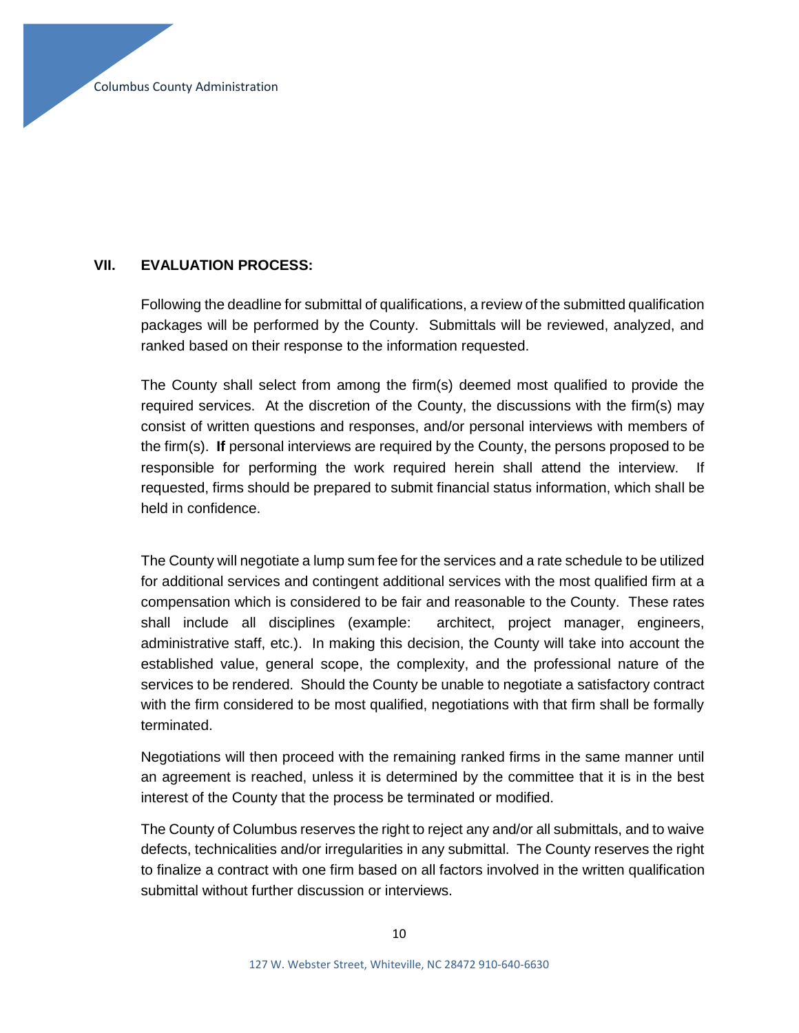# **VII. EVALUATION PROCESS:**

Following the deadline for submittal of qualifications, a review of the submitted qualification packages will be performed by the County. Submittals will be reviewed, analyzed, and ranked based on their response to the information requested.

The County shall select from among the firm(s) deemed most qualified to provide the required services. At the discretion of the County, the discussions with the firm(s) may consist of written questions and responses, and/or personal interviews with members of the firm(s). **If** personal interviews are required by the County, the persons proposed to be responsible for performing the work required herein shall attend the interview. If requested, firms should be prepared to submit financial status information, which shall be held in confidence.

The County will negotiate a lump sum fee for the services and a rate schedule to be utilized for additional services and contingent additional services with the most qualified firm at a compensation which is considered to be fair and reasonable to the County. These rates shall include all disciplines (example: architect, project manager, engineers, administrative staff, etc.). In making this decision, the County will take into account the established value, general scope, the complexity, and the professional nature of the services to be rendered. Should the County be unable to negotiate a satisfactory contract with the firm considered to be most qualified, negotiations with that firm shall be formally terminated.

Negotiations will then proceed with the remaining ranked firms in the same manner until an agreement is reached, unless it is determined by the committee that it is in the best interest of the County that the process be terminated or modified.

The County of Columbus reserves the right to reject any and/or all submittals, and to waive defects, technicalities and/or irregularities in any submittal. The County reserves the right to finalize a contract with one firm based on all factors involved in the written qualification submittal without further discussion or interviews.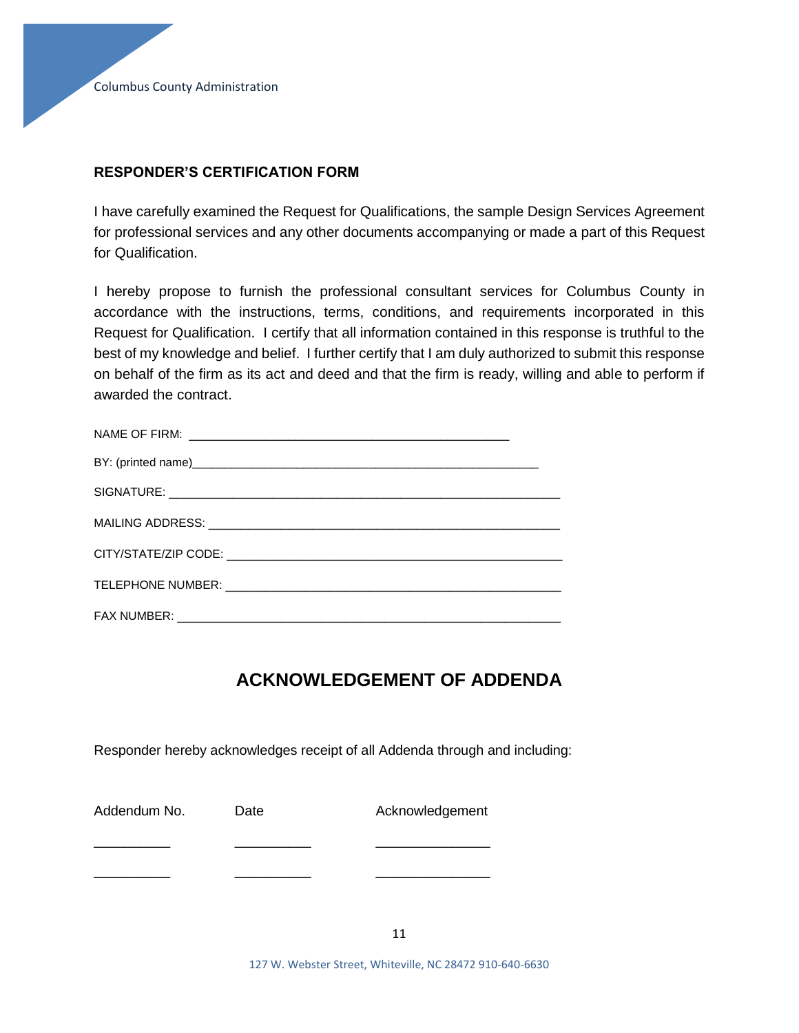## **RESPONDER'S CERTIFICATION FORM**

I have carefully examined the Request for Qualifications, the sample Design Services Agreement for professional services and any other documents accompanying or made a part of this Request for Qualification.

I hereby propose to furnish the professional consultant services for Columbus County in accordance with the instructions, terms, conditions, and requirements incorporated in this Request for Qualification. I certify that all information contained in this response is truthful to the best of my knowledge and belief. I further certify that I am duly authorized to submit this response on behalf of the firm as its act and deed and that the firm is ready, willing and able to perform if awarded the contract.

# **ACKNOWLEDGEMENT OF ADDENDA**

Responder hereby acknowledges receipt of all Addenda through and including:

| Addendum No. | Date | Acknowledgement |
|--------------|------|-----------------|
|              |      |                 |
|              |      |                 |

127 W. Webster Street, Whiteville, NC 28472 910-640-6630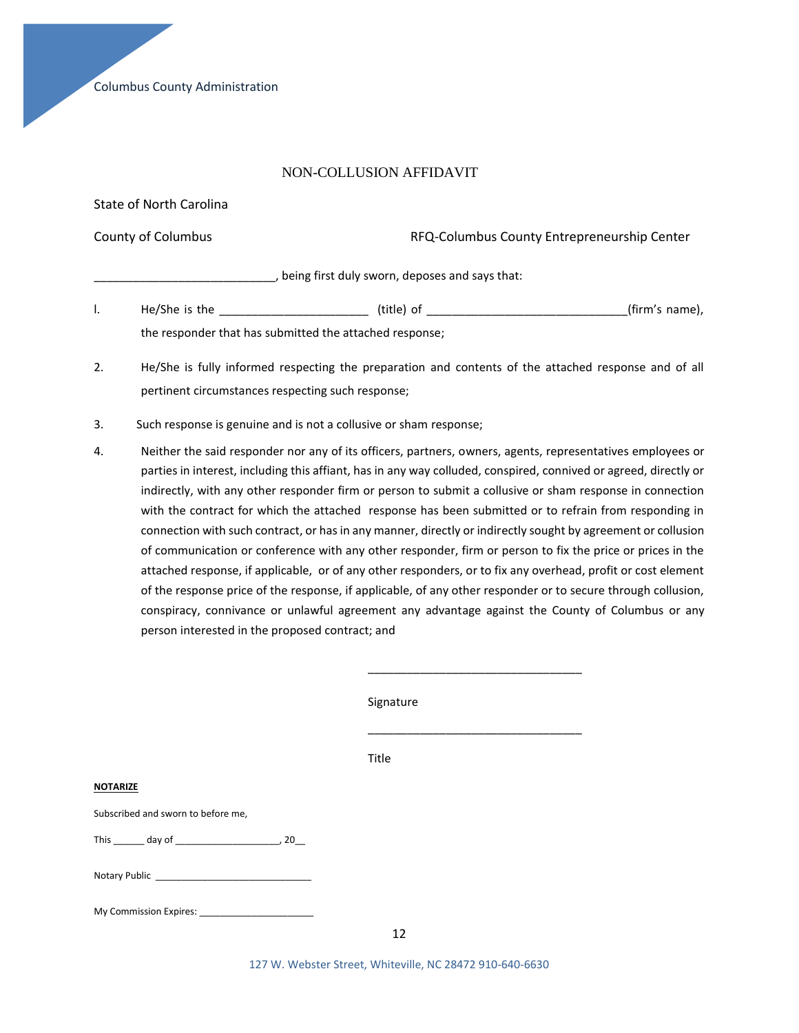Columbus County Administration

#### NON-COLLUSION AFFIDAVIT

State of North Carolina County of Columbus RFQ-Columbus County Entrepreneurship Center \_\_\_\_\_\_\_\_\_\_\_\_\_\_\_\_\_\_\_\_\_\_\_\_\_\_\_\_, being first duly sworn, deposes and says that: l. He/She is the \_\_\_\_\_\_\_\_\_\_\_\_\_\_\_\_\_\_\_\_\_\_\_ (title) of \_\_\_\_\_\_\_\_\_\_\_\_\_\_\_\_\_\_\_\_\_\_\_\_\_\_\_\_\_\_\_(firm's name),

the responder that has submitted the attached response;

- 2. He/She is fully informed respecting the preparation and contents of the attached response and of all pertinent circumstances respecting such response;
- 3. Such response is genuine and is not a collusive or sham response;
- 4. Neither the said responder nor any of its officers, partners, owners, agents, representatives employees or parties in interest, including this affiant, has in any way colluded, conspired, connived or agreed, directly or indirectly, with any other responder firm or person to submit a collusive or sham response in connection with the contract for which the attached response has been submitted or to refrain from responding in connection with such contract, or has in any manner, directly or indirectly sought by agreement or collusion of communication or conference with any other responder, firm or person to fix the price or prices in the attached response, if applicable, or of any other responders, or to fix any overhead, profit or cost element of the response price of the response, if applicable, of any other responder or to secure through collusion, conspiracy, connivance or unlawful agreement any advantage against the County of Columbus or any person interested in the proposed contract; and

\_\_\_\_\_\_\_\_\_\_\_\_\_\_\_\_\_\_\_\_\_\_\_\_\_\_\_\_\_\_\_\_\_

|                                    | Signature |
|------------------------------------|-----------|
|                                    |           |
|                                    | Title     |
| <b>NOTARIZE</b>                    |           |
| Subscribed and sworn to before me, |           |
|                                    |           |
|                                    |           |
| My Commission Expires:             |           |